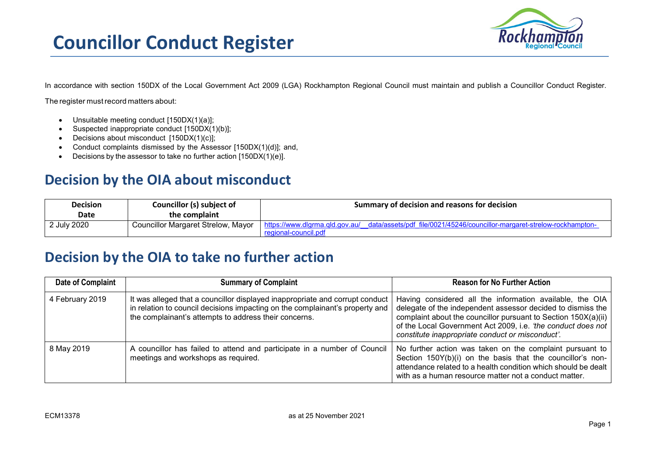

In accordance with section 150DX of the Local Government Act 2009 (LGA) Rockhampton Regional Council must maintain and publish a Councillor Conduct Register.

The register mustrecord matters about:

- Unsuitable meeting conduct [150DX(1)(a)];
- Suspected inappropriate conduct [150DX(1)(b)];
- Decisions about misconduct [150DX(1)(c)];
- Conduct complaints dismissed by the Assessor [150DX(1)(d)]; and,
- Decisions by the assessor to take no further action [150DX(1)(e)].

## **Decision by the OIA about misconduct**

| <b>Decision</b> | Councillor (s) subject of          | Summary of decision and reasons for decision                                                              |
|-----------------|------------------------------------|-----------------------------------------------------------------------------------------------------------|
| Date            | the complaint                      |                                                                                                           |
| 2 July 2020     | Councillor Margaret Strelow, Mayor | data/assets/pdf_file/0021/45246/councillor-margaret-strelow-rockhampton<br>https://www.dlgrma.gld.gov.au/ |
|                 |                                    | regional-council.pdi                                                                                      |

## **Decision by the OIA to take no further action**

| Date of Complaint | <b>Summary of Complaint</b>                                                                                                                                                                                           | <b>Reason for No Further Action</b>                                                                                                                                                                                                                                                                           |
|-------------------|-----------------------------------------------------------------------------------------------------------------------------------------------------------------------------------------------------------------------|---------------------------------------------------------------------------------------------------------------------------------------------------------------------------------------------------------------------------------------------------------------------------------------------------------------|
| 4 February 2019   | It was alleged that a councillor displayed inappropriate and corrupt conduct<br>in relation to council decisions impacting on the complainant's property and<br>the complainant's attempts to address their concerns. | Having considered all the information available, the OIA<br>delegate of the independent assessor decided to dismiss the<br>complaint about the councillor pursuant to Section 150X(a)(ii)<br>of the Local Government Act 2009, i.e. 'the conduct does not<br>constitute inappropriate conduct or misconduct'. |
| 8 May 2019        | A councillor has failed to attend and participate in a number of Council<br>meetings and workshops as required.                                                                                                       | No further action was taken on the complaint pursuant to<br>Section 150Y(b)(i) on the basis that the councillor's non-<br>attendance related to a health condition which should be dealt<br>with as a human resource matter not a conduct matter.                                                             |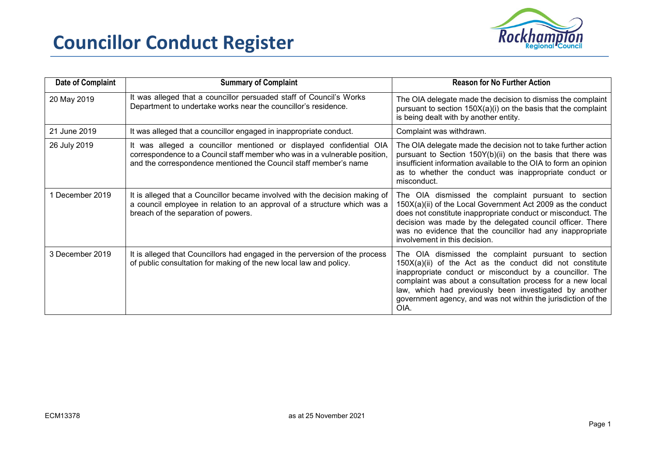## **Councillor Conduct Register**



| Date of Complaint | <b>Summary of Complaint</b>                                                                                                                                                                                           | <b>Reason for No Further Action</b>                                                                                                                                                                                                                                                                                                                                            |
|-------------------|-----------------------------------------------------------------------------------------------------------------------------------------------------------------------------------------------------------------------|--------------------------------------------------------------------------------------------------------------------------------------------------------------------------------------------------------------------------------------------------------------------------------------------------------------------------------------------------------------------------------|
| 20 May 2019       | It was alleged that a councillor persuaded staff of Council's Works<br>Department to undertake works near the councillor's residence.                                                                                 | The OIA delegate made the decision to dismiss the complaint<br>pursuant to section 150X(a)(i) on the basis that the complaint<br>is being dealt with by another entity.                                                                                                                                                                                                        |
| 21 June 2019      | It was alleged that a councillor engaged in inappropriate conduct.                                                                                                                                                    | Complaint was withdrawn.                                                                                                                                                                                                                                                                                                                                                       |
| 26 July 2019      | It was alleged a councillor mentioned or displayed confidential OIA<br>correspondence to a Council staff member who was in a vulnerable position,<br>and the correspondence mentioned the Council staff member's name | The OIA delegate made the decision not to take further action<br>pursuant to Section 150Y(b)(ii) on the basis that there was<br>insufficient information available to the OIA to form an opinion<br>as to whether the conduct was inappropriate conduct or<br>misconduct.                                                                                                      |
| 1 December 2019   | It is alleged that a Councillor became involved with the decision making of<br>a council employee in relation to an approval of a structure which was a<br>breach of the separation of powers.                        | The OIA dismissed the complaint pursuant to section<br>150X(a)(ii) of the Local Government Act 2009 as the conduct<br>does not constitute inappropriate conduct or misconduct. The<br>decision was made by the delegated council officer. There<br>was no evidence that the councillor had any inappropriate<br>involvement in this decision.                                  |
| 3 December 2019   | It is alleged that Councillors had engaged in the perversion of the process<br>of public consultation for making of the new local law and policy.                                                                     | The OIA dismissed the complaint pursuant to section<br>$150X(a)(ii)$ of the Act as the conduct did not constitute<br>inappropriate conduct or misconduct by a councillor. The<br>complaint was about a consultation process for a new local<br>law, which had previously been investigated by another<br>government agency, and was not within the jurisdiction of the<br>OIA. |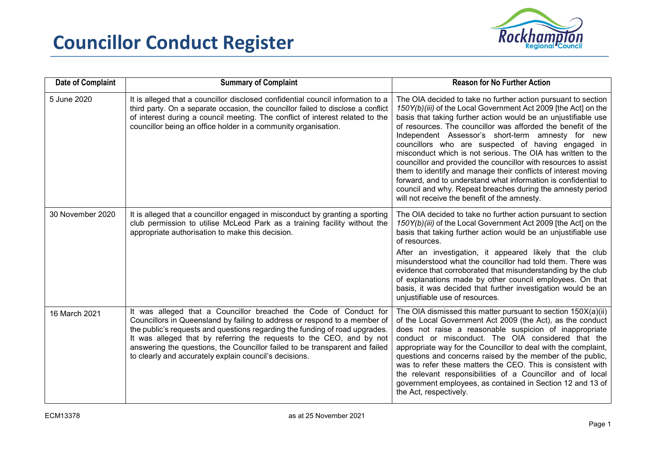

| Date of Complaint | <b>Summary of Complaint</b>                                                                                                                                                                                                                                                                                                                                                                                                                    | <b>Reason for No Further Action</b>                                                                                                                                                                                                                                                                                                                                                                                                                                                                                                                                                                                                                                                                                                                              |
|-------------------|------------------------------------------------------------------------------------------------------------------------------------------------------------------------------------------------------------------------------------------------------------------------------------------------------------------------------------------------------------------------------------------------------------------------------------------------|------------------------------------------------------------------------------------------------------------------------------------------------------------------------------------------------------------------------------------------------------------------------------------------------------------------------------------------------------------------------------------------------------------------------------------------------------------------------------------------------------------------------------------------------------------------------------------------------------------------------------------------------------------------------------------------------------------------------------------------------------------------|
| 5 June 2020       | It is alleged that a councillor disclosed confidential council information to a<br>third party. On a separate occasion, the councillor failed to disclose a conflict<br>of interest during a council meeting. The conflict of interest related to the<br>councillor being an office holder in a community organisation.                                                                                                                        | The OIA decided to take no further action pursuant to section<br>150Y(b)(iii) of the Local Government Act 2009 [the Act] on the<br>basis that taking further action would be an unjustifiable use<br>of resources. The councillor was afforded the benefit of the<br>Independent Assessor's short-term amnesty for new<br>councillors who are suspected of having engaged in<br>misconduct which is not serious. The OIA has written to the<br>councillor and provided the councillor with resources to assist<br>them to identify and manage their conflicts of interest moving<br>forward, and to understand what information is confidential to<br>council and why. Repeat breaches during the amnesty period<br>will not receive the benefit of the amnesty. |
| 30 November 2020  | It is alleged that a councillor engaged in misconduct by granting a sporting<br>club permission to utilise McLeod Park as a training facility without the<br>appropriate authorisation to make this decision.                                                                                                                                                                                                                                  | The OIA decided to take no further action pursuant to section<br>150Y(b)(iii) of the Local Government Act 2009 [the Act] on the<br>basis that taking further action would be an unjustifiable use<br>of resources.<br>After an investigation, it appeared likely that the club<br>misunderstood what the councillor had told them. There was<br>evidence that corroborated that misunderstanding by the club<br>of explanations made by other council employees. On that<br>basis, it was decided that further investigation would be an<br>unjustifiable use of resources.                                                                                                                                                                                      |
| 16 March 2021     | It was alleged that a Councillor breached the Code of Conduct for<br>Councillors in Queensland by failing to address or respond to a member of<br>the public's requests and questions regarding the funding of road upgrades.<br>It was alleged that by referring the requests to the CEO, and by not<br>answering the questions, the Councillor failed to be transparent and failed<br>to clearly and accurately explain council's decisions. | The OIA dismissed this matter pursuant to section 150X(a)(ii)<br>of the Local Government Act 2009 (the Act), as the conduct<br>does not raise a reasonable suspicion of inappropriate<br>conduct or misconduct. The OIA considered that the<br>appropriate way for the Councillor to deal with the complaint,<br>questions and concerns raised by the member of the public,<br>was to refer these matters the CEO. This is consistent with<br>the relevant responsibilities of a Councillor and of local<br>government employees, as contained in Section 12 and 13 of<br>the Act, respectively.                                                                                                                                                                 |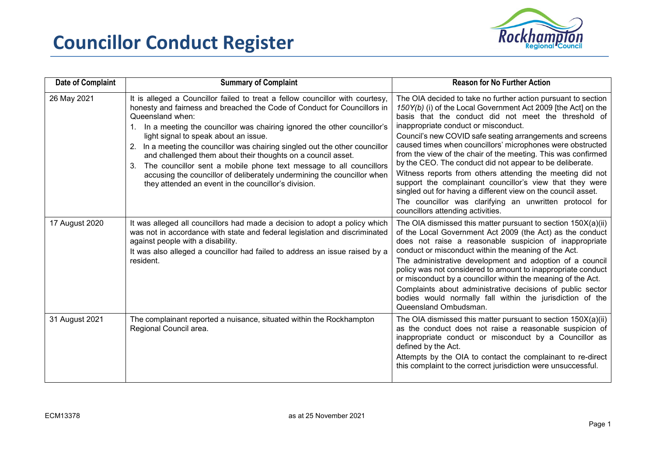



| Date of Complaint | <b>Summary of Complaint</b>                                                                                                                                                                                                                                                                                                                                                                                                                                                                                                                                                                                                                                      | <b>Reason for No Further Action</b>                                                                                                                                                                                                                                                                                                                                                                                                                                                                                                                                                                                                                                                                                                                                              |
|-------------------|------------------------------------------------------------------------------------------------------------------------------------------------------------------------------------------------------------------------------------------------------------------------------------------------------------------------------------------------------------------------------------------------------------------------------------------------------------------------------------------------------------------------------------------------------------------------------------------------------------------------------------------------------------------|----------------------------------------------------------------------------------------------------------------------------------------------------------------------------------------------------------------------------------------------------------------------------------------------------------------------------------------------------------------------------------------------------------------------------------------------------------------------------------------------------------------------------------------------------------------------------------------------------------------------------------------------------------------------------------------------------------------------------------------------------------------------------------|
| 26 May 2021       | It is alleged a Councillor failed to treat a fellow councillor with courtesy,<br>honesty and fairness and breached the Code of Conduct for Councillors in<br>Queensland when:<br>1. In a meeting the councillor was chairing ignored the other councillor's<br>light signal to speak about an issue.<br>2. In a meeting the councillor was chairing singled out the other councillor<br>and challenged them about their thoughts on a council asset.<br>3. The councillor sent a mobile phone text message to all councillors<br>accusing the councillor of deliberately undermining the councillor when<br>they attended an event in the councillor's division. | The OIA decided to take no further action pursuant to section<br>150Y(b) (i) of the Local Government Act 2009 [the Act] on the<br>basis that the conduct did not meet the threshold of<br>inappropriate conduct or misconduct.<br>Council's new COVID safe seating arrangements and screens<br>caused times when councillors' microphones were obstructed<br>from the view of the chair of the meeting. This was confirmed<br>by the CEO. The conduct did not appear to be deliberate.<br>Witness reports from others attending the meeting did not<br>support the complainant councillor's view that they were<br>singled out for having a different view on the council asset.<br>The councillor was clarifying an unwritten protocol for<br>councillors attending activities. |
| 17 August 2020    | It was alleged all councillors had made a decision to adopt a policy which<br>was not in accordance with state and federal legislation and discriminated<br>against people with a disability.<br>It was also alleged a councillor had failed to address an issue raised by a<br>resident.                                                                                                                                                                                                                                                                                                                                                                        | The OIA dismissed this matter pursuant to section 150X(a)(ii)<br>of the Local Government Act 2009 (the Act) as the conduct<br>does not raise a reasonable suspicion of inappropriate<br>conduct or misconduct within the meaning of the Act.<br>The administrative development and adoption of a council<br>policy was not considered to amount to inappropriate conduct<br>or misconduct by a councillor within the meaning of the Act.<br>Complaints about administrative decisions of public sector<br>bodies would normally fall within the jurisdiction of the<br>Queensland Ombudsman.                                                                                                                                                                                     |
| 31 August 2021    | The complainant reported a nuisance, situated within the Rockhampton<br>Regional Council area.                                                                                                                                                                                                                                                                                                                                                                                                                                                                                                                                                                   | The OIA dismissed this matter pursuant to section 150X(a)(ii)<br>as the conduct does not raise a reasonable suspicion of<br>inappropriate conduct or misconduct by a Councillor as<br>defined by the Act.<br>Attempts by the OIA to contact the complainant to re-direct<br>this complaint to the correct jurisdiction were unsuccessful.                                                                                                                                                                                                                                                                                                                                                                                                                                        |